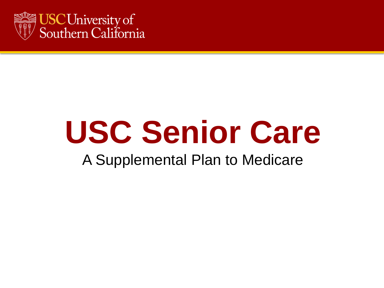

#### A Supplemental Plan to Medicare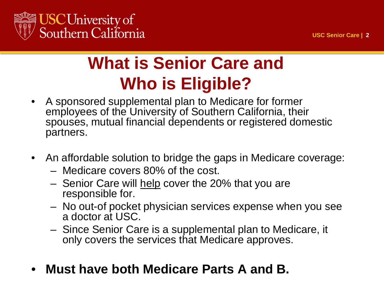

#### **What is Senior Care and Who is Eligible?**

- A sponsored supplemental plan to Medicare for former employees of the University of Southern California, their spouses, mutual financial dependents or registered domestic partners.
- An affordable solution to bridge the gaps in Medicare coverage:
	- Medicare covers 80% of the cost.
	- Senior Care will help cover the 20% that you are responsible for.
	- No out-of pocket physician services expense when you see a doctor at USC.
	- Since Senior Care is a supplemental plan to Medicare, it only covers the services that Medicare approves.
- **Must have both Medicare Parts A and B.**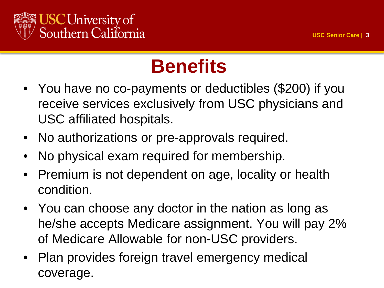

#### **Benefits**

- You have no co-payments or deductibles (\$200) if you receive services exclusively from USC physicians and USC affiliated hospitals.
- No authorizations or pre-approvals required.
- No physical exam required for membership.
- Premium is not dependent on age, locality or health condition.
- You can choose any doctor in the nation as long as he/she accepts Medicare assignment. You will pay 2% of Medicare Allowable for non-USC providers.
- Plan provides foreign travel emergency medical coverage.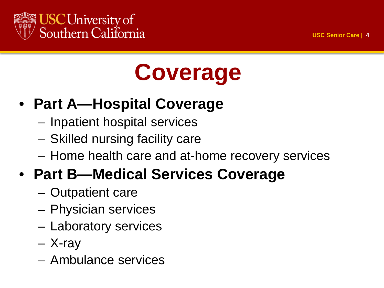

## **Coverage**

#### • **Part A—Hospital Coverage**

- Inpatient hospital services
- Skilled nursing facility care
- Home health care and at-home recovery services

#### • **Part B—Medical Services Coverage**

- Outpatient care
- Physician services
- Laboratory services
- X-ray
- Ambulance services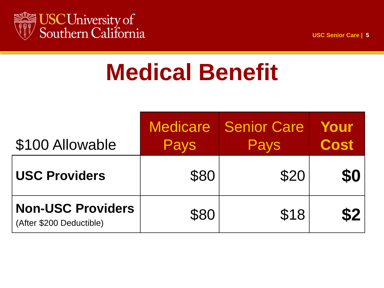

### **Medical Benefit**

| \$100 Allowable                                      | <b>Medicare</b><br>Pays | <b>Senior Care</b><br>Pays | Your<br><b>Cost</b> |
|------------------------------------------------------|-------------------------|----------------------------|---------------------|
| <b>USC Providers</b>                                 | \$80                    | \$20                       | \$0                 |
| <b>Non-USC Providers</b><br>(After \$200 Deductible) | \$80                    | \$18                       | \$2                 |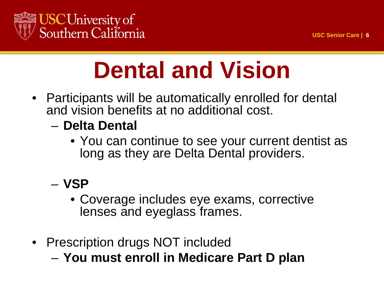



### **Dental and Vision**

- Participants will be automatically enrolled for dental and vision benefits at no additional cost.
	- **Delta Dental**
		- You can continue to see your current dentist as long as they are Delta Dental providers.

#### – **VSP**

- Coverage includes eye exams, corrective lenses and eyeglass frames.
- Prescription drugs NOT included
	- **You must enroll in Medicare Part D plan**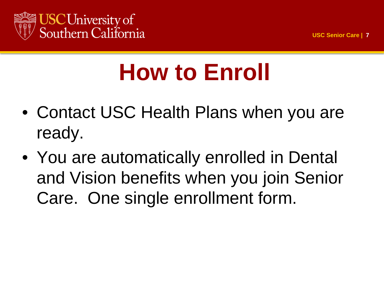

## **How to Enroll**

- Contact USC Health Plans when you are ready.
- You are automatically enrolled in Dental and Vision benefits when you join Senior Care. One single enrollment form.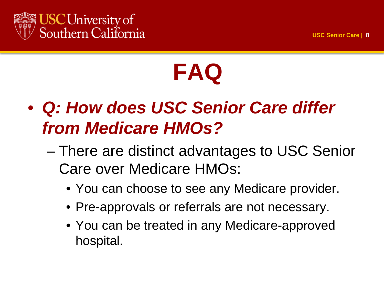

### **FAQ**

- *Q: How does USC Senior Care differ from Medicare HMOs?*
	- There are distinct advantages to USC Senior Care over Medicare HMOs:
		- You can choose to see any Medicare provider.
		- Pre-approvals or referrals are not necessary.
		- You can be treated in any Medicare-approved hospital.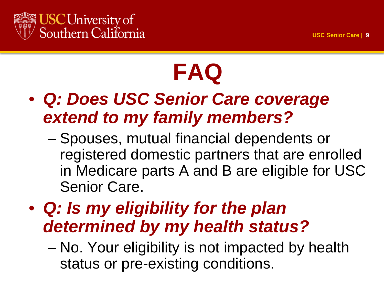

## **FAQ**

- *Q: Does USC Senior Care coverage extend to my family members?*
	- Spouses, mutual financial dependents or registered domestic partners that are enrolled in Medicare parts A and B are eligible for USC Senior Care.
- *Q: Is my eligibility for the plan determined by my health status?*
	- No. Your eligibility is not impacted by health status or pre-existing conditions.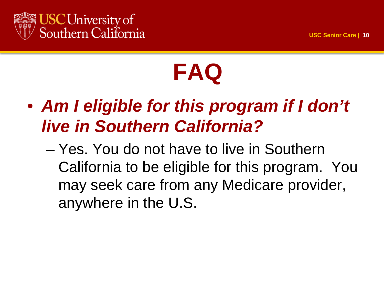

## **FAQ**

- *Am I eligible for this program if I don't live in Southern California?*
	- Yes. You do not have to live in Southern California to be eligible for this program. You may seek care from any Medicare provider, anywhere in the U.S.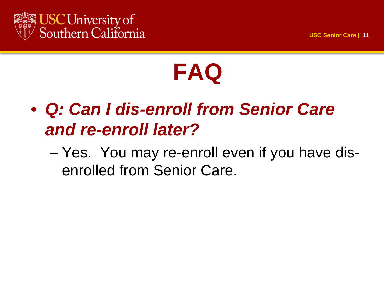

### **FAQ**

#### • *Q: Can I dis-enroll from Senior Care and re-enroll later?*

– Yes. You may re-enroll even if you have disenrolled from Senior Care.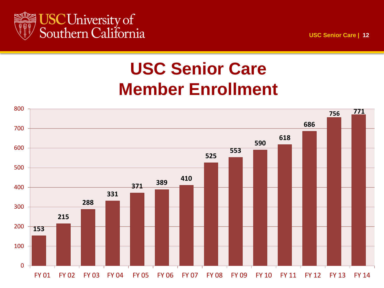

#### **USC Senior Care Member Enrollment**